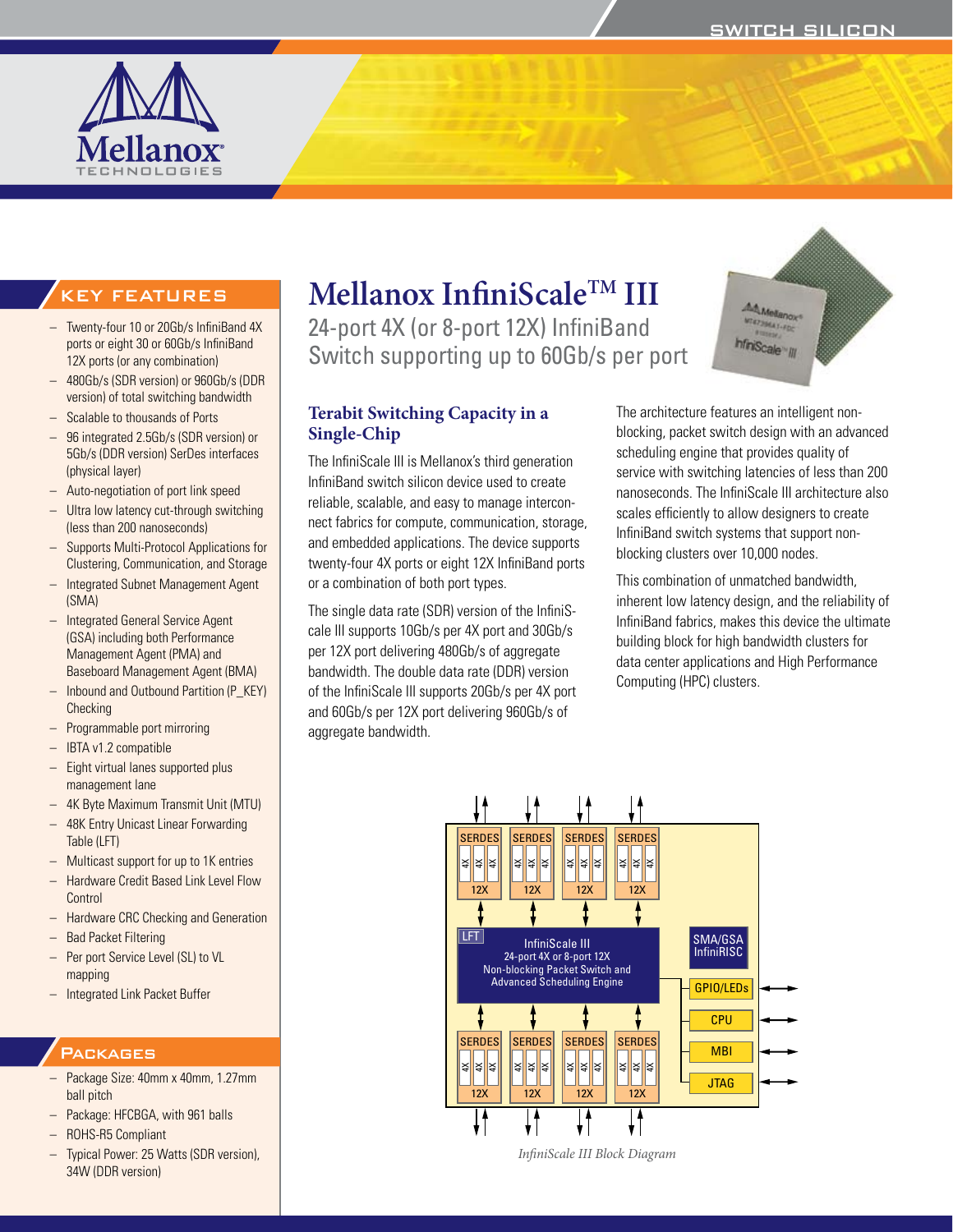

# **Mellanox InfiniScaleTM III**

**Single-Chip**

or a combination of both port types.

aggregate bandwidth.

The single data rate (SDR) version of the InfiniScale III supports 10Gb/s per 4X port and 30Gb/s per 12X port delivering 480Gb/s of aggregate bandwidth. The double data rate (DDR) version of the InfiniScale III supports 20Gb/s per 4X port and 60Gb/s per 12X port delivering 960Gb/s of

24-port 4X (or 8-port 12X) InfiniBand Switch supporting up to 60Gb/s per port



# KEY FEATURES

- Twenty-four 10 or 20Gb/s InfiniBand 4X ports or eight 30 or 60Gb/s InfiniBand 12X ports (or any combination)
- 480Gb/s (SDR version) or 960Gb/s (DDR version) of total switching bandwidth
- Scalable to thousands of Ports
- 96 integrated 2.5Gb/s (SDR version) or 5Gb/s (DDR version) SerDes interfaces (physical layer)
- Auto-negotiation of port link speed
- Ultra low latency cut-through switching (less than 200 nanoseconds)
- – Supports Multi-Protocol Applications for Clustering, Communication, and Storage
- – Integrated Subnet Management Agent (SMA)
- – Integrated General Service Agent (GSA) including both Performance Management Agent (PMA) and Baseboard Management Agent (BMA)
- Inbound and Outbound Partition (P\_KEY) **Checking**
- Programmable port mirroring
- – IBTA v1.2 compatible
- Eight virtual lanes supported plus management lane
- 4K Byte Maximum Transmit Unit (MTU)
- 48K Entry Unicast Linear Forwarding Table (LFT)
- Multicast support for up to 1K entries
- – Hardware Credit Based Link Level Flow Control
- **Hardware CRC Checking and Generation**
- Bad Packet Filtering
- Per port Service Level (SL) to VL mapping
- – Integrated Link Packet Buffer

## **PACKAGES**

- – Package Size: 40mm x 40mm, 1.27mm ball pitch
- Package: HFCBGA, with 961 balls
- ROHS-R5 Compliant
- Typical Power: 25 Watts (SDR version), 34W (DDR version)

#### **Terabit Switching Capacity in a**  The InfiniScale III is Mellanox's third generation InfiniBand switch silicon device used to create reliable, scalable, and easy to manage interconnect fabrics for compute, communication, storage, and embedded applications. The device supports twenty-four 4X ports or eight 12X InfiniBand ports The architecture features an intelligent nonblocking, packet switch design with an advanced scheduling engine that provides quality of service with switching latencies of less than 200 nanoseconds. The InfiniScale III architecture also scales efficiently to allow designers to create InfiniBand switch systems that support nonblocking clusters over 10,000 nodes.

This combination of unmatched bandwidth, inherent low latency design, and the reliability of InfiniBand fabrics, makes this device the ultimate building block for high bandwidth clusters for data center applications and High Performance Computing (HPC) clusters.



*InfiniScale III Block Diagram*